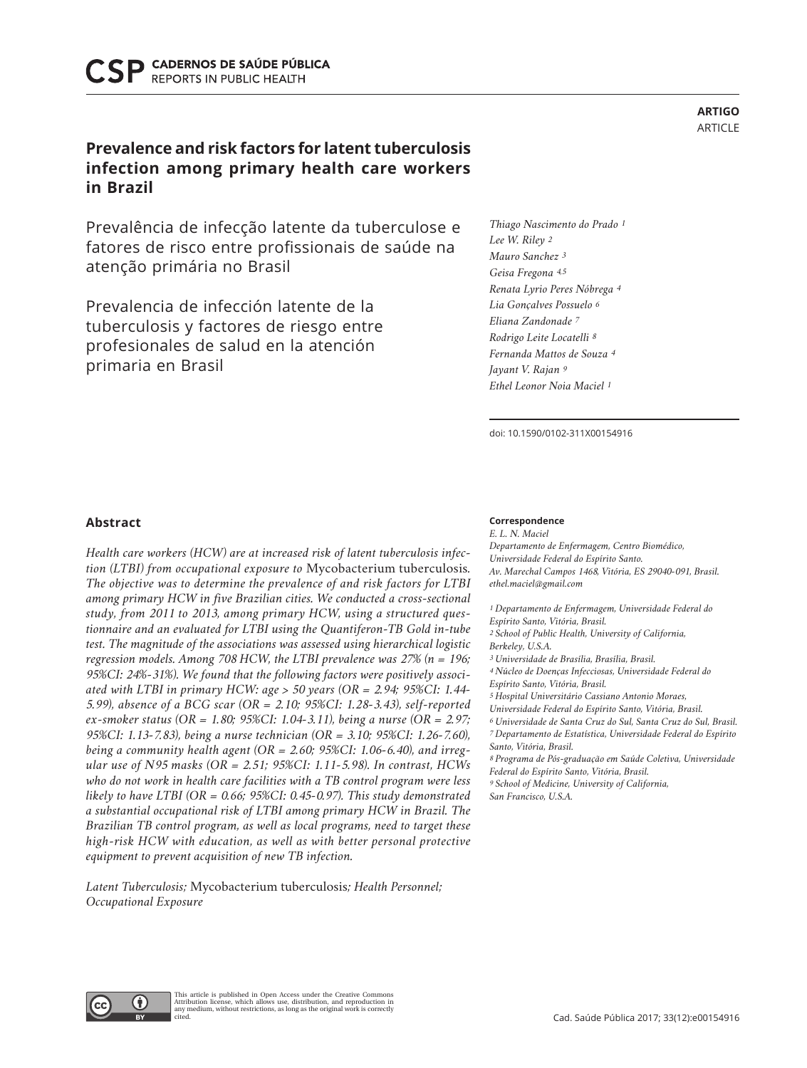# **Prevalence and risk factors for latent tuberculosis infection among primary health care workers in Brazil**

Prevalência de infecção latente da tuberculose e fatores de risco entre profissionais de saúde na atenção primária no Brasil

Prevalencia de infección latente de la tuberculosis y factores de riesgo entre profesionales de salud en la atención primaria en Brasil

# **ARTIGO** ARTICLE

*Thiago Nascimento do Prado 1 Lee W. Riley 2 Mauro Sanchez 3 Geisa Fregona 4,5 Renata Lyrio Peres Nóbrega 4 Lia Gonçalves Possuelo 6 Eliana Zandonade 7 Rodrigo Leite Locatelli 8 Fernanda Mattos de Souza 4 Jayant V. Rajan 9 Ethel Leonor Noia Maciel 1*

doi: 10.1590/0102-311X00154916

# **Abstract**

*Health care workers (HCW) are at increased risk of latent tuberculosis infection (LTBI) from occupational exposure to* Mycobacterium tuberculosis*. The objective was to determine the prevalence of and risk factors for LTBI among primary HCW in five Brazilian cities. We conducted a cross-sectional study, from 2011 to 2013, among primary HCW, using a structured questionnaire and an evaluated for LTBI using the Quantiferon-TB Gold in-tube test. The magnitude of the associations was assessed using hierarchical logistic regression models. Among 708 HCW, the LTBI prevalence was 27% (n = 196; 95%CI: 24%-31%). We found that the following factors were positively associated with LTBI in primary HCW: age > 50 years (OR = 2.94; 95%CI: 1.44- 5.99), absence of a BCG scar (OR = 2.10; 95%CI: 1.28-3.43), self-reported ex-smoker status (OR = 1.80; 95%CI: 1.04-3.11), being a nurse (OR = 2.97; 95%CI: 1.13-7.83), being a nurse technician (OR = 3.10; 95%CI: 1.26-7.60), being a community health agent (OR = 2.60; 95%CI: 1.06-6.40), and irregular use of N95 masks (OR = 2.51; 95%CI: 1.11-5.98). In contrast, HCWs who do not work in health care facilities with a TB control program were less likely to have LTBI (OR = 0.66; 95%CI: 0.45-0.97). This study demonstrated a substantial occupational risk of LTBI among primary HCW in Brazil. The Brazilian TB control program, as well as local programs, need to target these high-risk HCW with education, as well as with better personal protective equipment to prevent acquisition of new TB infection.*

*Latent Tuberculosis;* Mycobacterium tuberculosis*; Health Personnel; Occupational Exposure*

**Correspondence**

*E. L. N. Maciel Departamento de Enfermagem, Centro Biomédico, Universidade Federal do Espírito Santo. Av. Marechal Campos 1468, Vitória, ES 29040-091, Brasil. ethel.maciel@gmail.com*

*1 Departamento de Enfermagem, Universidade Federal do Espírito Santo, Vitória, Brasil. 2 School of Public Health, University of California, Berkeley, U.S.A. 3 Universidade de Brasília, Brasília, Brasil. 4 Núcleo de Doenças Infecciosas, Universidade Federal do Espírito Santo, Vitória, Brasil. 5 Hospital Universitário Cassiano Antonio Moraes, Universidade Federal do Espírito Santo, Vitória, Brasil.*

*6 Universidade de Santa Cruz do Sul, Santa Cruz do Sul, Brasil. 7 Departamento de Estatística, Universidade Federal do Espírito Santo, Vitória, Brasil.*

*8 Programa de Pós-graduação em Saúde Coletiva, Universidade Federal do Espírito Santo, Vitória, Brasil.*

*9 School of Medicine, University of California, San Francisco, U.S.A.*

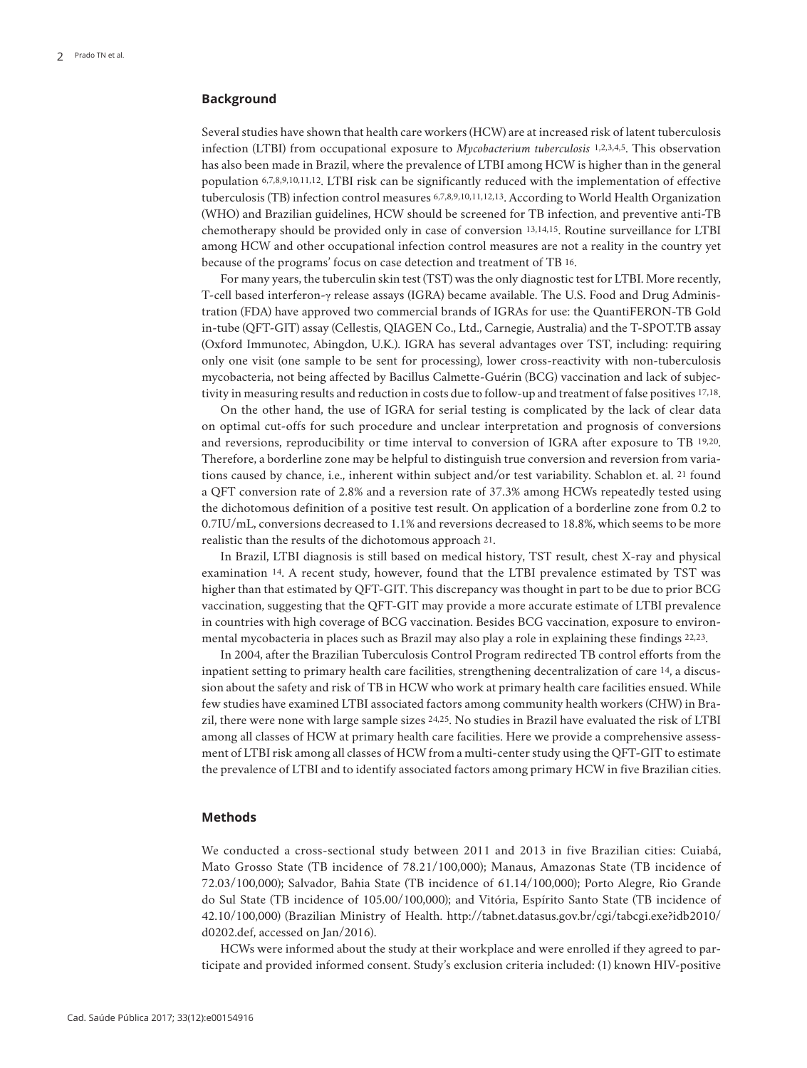#### **Background**

Several studies have shown that health care workers (HCW) are at increased risk of latent tuberculosis infection (LTBI) from occupational exposure to *Mycobacterium tuberculosis* 1,2,3,4,5. This observation has also been made in Brazil, where the prevalence of LTBI among HCW is higher than in the general population 6,7,8,9,10,11,12. LTBI risk can be significantly reduced with the implementation of effective tuberculosis (TB) infection control measures 6,7,8,9,10,11,12,13. According to World Health Organization (WHO) and Brazilian guidelines, HCW should be screened for TB infection, and preventive anti-TB chemotherapy should be provided only in case of conversion 13,14,15. Routine surveillance for LTBI among HCW and other occupational infection control measures are not a reality in the country yet because of the programs' focus on case detection and treatment of TB 16.

For many years, the tuberculin skin test (TST) was the only diagnostic test for LTBI. More recently, T-cell based interferon-γ release assays (IGRA) became available. The U.S. Food and Drug Administration (FDA) have approved two commercial brands of IGRAs for use: the QuantiFERON-TB Gold in-tube (QFT-GIT) assay (Cellestis, QIAGEN Co., Ltd., Carnegie, Australia) and the T-SPOT.TB assay (Oxford Immunotec, Abingdon, U.K.). IGRA has several advantages over TST, including: requiring only one visit (one sample to be sent for processing), lower cross-reactivity with non-tuberculosis mycobacteria, not being affected by Bacillus Calmette-Guérin (BCG) vaccination and lack of subjectivity in measuring results and reduction in costs due to follow-up and treatment of false positives 17,18.

On the other hand, the use of IGRA for serial testing is complicated by the lack of clear data on optimal cut-offs for such procedure and unclear interpretation and prognosis of conversions and reversions, reproducibility or time interval to conversion of IGRA after exposure to TB 19,20. Therefore, a borderline zone may be helpful to distinguish true conversion and reversion from variations caused by chance, i.e., inherent within subject and/or test variability. Schablon et. al. 21 found a QFT conversion rate of 2.8% and a reversion rate of 37.3% among HCWs repeatedly tested using the dichotomous definition of a positive test result. On application of a borderline zone from 0.2 to 0.7IU/mL, conversions decreased to 1.1% and reversions decreased to 18.8%, which seems to be more realistic than the results of the dichotomous approach 21.

In Brazil, LTBI diagnosis is still based on medical history, TST result, chest X-ray and physical examination 14. A recent study, however, found that the LTBI prevalence estimated by TST was higher than that estimated by QFT-GIT. This discrepancy was thought in part to be due to prior BCG vaccination, suggesting that the QFT-GIT may provide a more accurate estimate of LTBI prevalence in countries with high coverage of BCG vaccination. Besides BCG vaccination, exposure to environmental mycobacteria in places such as Brazil may also play a role in explaining these findings 22,23.

In 2004, after the Brazilian Tuberculosis Control Program redirected TB control efforts from the inpatient setting to primary health care facilities, strengthening decentralization of care 14, a discussion about the safety and risk of TB in HCW who work at primary health care facilities ensued. While few studies have examined LTBI associated factors among community health workers (CHW) in Brazil, there were none with large sample sizes 24,25. No studies in Brazil have evaluated the risk of LTBI among all classes of HCW at primary health care facilities. Here we provide a comprehensive assessment of LTBI risk among all classes of HCW from a multi-center study using the QFT-GIT to estimate the prevalence of LTBI and to identify associated factors among primary HCW in five Brazilian cities.

#### **Methods**

We conducted a cross-sectional study between 2011 and 2013 in five Brazilian cities: Cuiabá, Mato Grosso State (TB incidence of 78.21/100,000); Manaus, Amazonas State (TB incidence of 72.03/100,000); Salvador, Bahia State (TB incidence of 61.14/100,000); Porto Alegre, Rio Grande do Sul State (TB incidence of 105.00/100,000); and Vitória, Espírito Santo State (TB incidence of 42.10/100,000) (Brazilian Ministry of Health. http://tabnet.datasus.gov.br/cgi/tabcgi.exe?idb2010/ d0202.def, accessed on Jan/2016).

HCWs were informed about the study at their workplace and were enrolled if they agreed to participate and provided informed consent. Study's exclusion criteria included: (1) known HIV-positive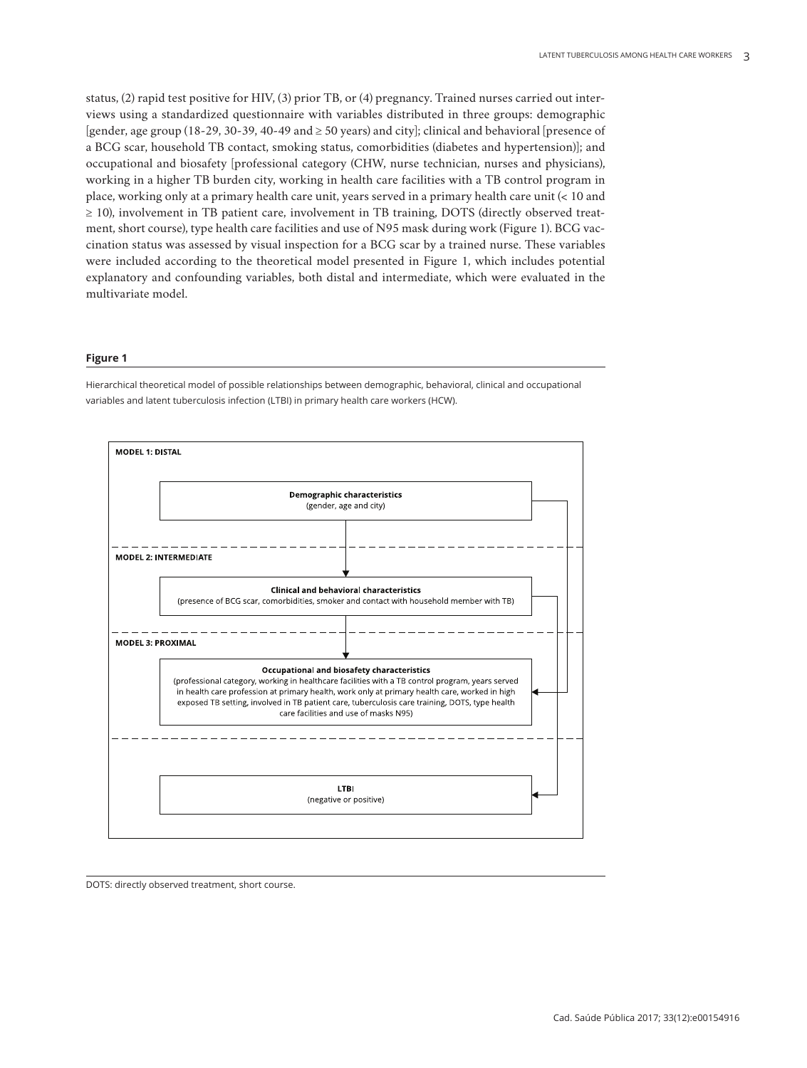status, (2) rapid test positive for HIV, (3) prior TB, or (4) pregnancy. Trained nurses carried out interviews using a standardized questionnaire with variables distributed in three groups: demographic [gender, age group (18-29, 30-39, 40-49 and ≥ 50 years) and city]; clinical and behavioral [presence of a BCG scar, household TB contact, smoking status, comorbidities (diabetes and hypertension)]; and occupational and biosafety [professional category (CHW, nurse technician, nurses and physicians), working in a higher TB burden city, working in health care facilities with a TB control program in place, working only at a primary health care unit, years served in a primary health care unit (< 10 and ≥ 10), involvement in TB patient care, involvement in TB training, DOTS (directly observed treatment, short course), type health care facilities and use of N95 mask during work (Figure 1). BCG vaccination status was assessed by visual inspection for a BCG scar by a trained nurse. These variables were included according to the theoretical model presented in Figure 1, which includes potential explanatory and confounding variables, both distal and intermediate, which were evaluated in the multivariate model.

#### **Figure 1**

Hierarchical theoretical model of possible relationships between demographic, behavioral, clinical and occupational variables and latent tuberculosis infection (LTBI) in primary health care workers (HCW).



DOTS: directly observed treatment, short course.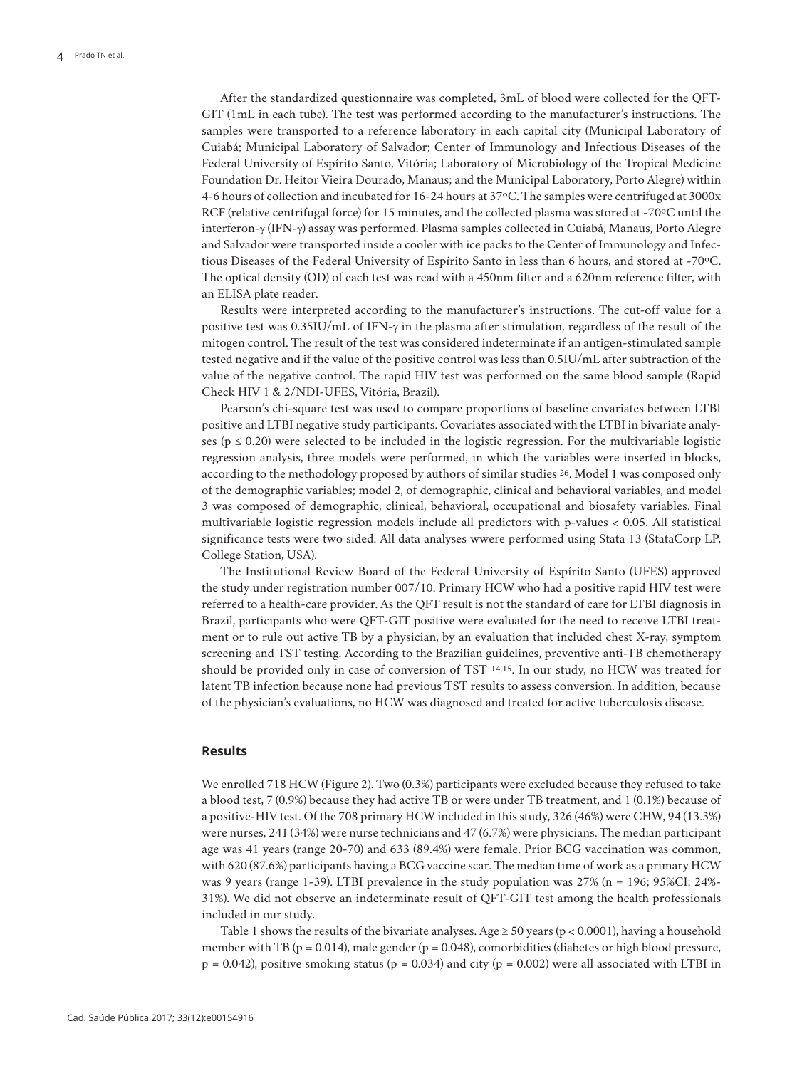After the standardized questionnaire was completed, 3mL of blood were collected for the QFT-GIT (1mL in each tube). The test was performed according to the manufacturer's instructions. The samples were transported to a reference laboratory in each capital city (Municipal Laboratory of Cuiabá; Municipal Laboratory of Salvador; Center of Immunology and Infectious Diseases of the Federal University of Espírito Santo, Vitória; Laboratory of Microbiology of the Tropical Medicine Foundation Dr. Heitor Vieira Dourado, Manaus; and the Municipal Laboratory, Porto Alegre) within 4-6 hours of collection and incubated for 16-24 hours at 37ºC. The samples were centrifuged at 3000x RCF (relative centrifugal force) for 15 minutes, and the collected plasma was stored at -70ºC until the interferon-γ (IFN-γ) assay was performed. Plasma samples collected in Cuiabá, Manaus, Porto Alegre and Salvador were transported inside a cooler with ice packs to the Center of Immunology and Infectious Diseases of the Federal University of Espírito Santo in less than 6 hours, and stored at -70ºC. The optical density (OD) of each test was read with a 450nm filter and a 620nm reference filter, with an ELISA plate reader.

Results were interpreted according to the manufacturer's instructions. The cut-off value for a positive test was 0.35IU/mL of IFN-γ in the plasma after stimulation, regardless of the result of the mitogen control. The result of the test was considered indeterminate if an antigen-stimulated sample tested negative and if the value of the positive control was less than 0.5IU/mL after subtraction of the value of the negative control. The rapid HIV test was performed on the same blood sample (Rapid Check HIV 1 & 2/NDI-UFES, Vitória, Brazil).

Pearson's chi-square test was used to compare proportions of baseline covariates between LTBI positive and LTBI negative study participants. Covariates associated with the LTBI in bivariate analyses ( $p \le 0.20$ ) were selected to be included in the logistic regression. For the multivariable logistic regression analysis, three models were performed, in which the variables were inserted in blocks, according to the methodology proposed by authors of similar studies 26. Model 1 was composed only of the demographic variables; model 2, of demographic, clinical and behavioral variables, and model 3 was composed of demographic, clinical, behavioral, occupational and biosafety variables. Final multivariable logistic regression models include all predictors with p-values < 0.05. All statistical significance tests were two sided. All data analyses wwere performed using Stata 13 (StataCorp LP, College Station, USA).

The Institutional Review Board of the Federal University of Espírito Santo (UFES) approved the study under registration number 007/10. Primary HCW who had a positive rapid HIV test were referred to a health-care provider. As the QFT result is not the standard of care for LTBI diagnosis in Brazil, participants who were QFT-GIT positive were evaluated for the need to receive LTBI treatment or to rule out active TB by a physician, by an evaluation that included chest X-ray, symptom screening and TST testing. According to the Brazilian guidelines, preventive anti-TB chemotherapy should be provided only in case of conversion of TST 14,15. In our study, no HCW was treated for latent TB infection because none had previous TST results to assess conversion. In addition, because of the physician's evaluations, no HCW was diagnosed and treated for active tuberculosis disease.

#### **Results**

We enrolled 718 HCW (Figure 2). Two (0.3%) participants were excluded because they refused to take a blood test, 7 (0.9%) because they had active TB or were under TB treatment, and 1 (0.1%) because of a positive-HIV test. Of the 708 primary HCW included in this study, 326 (46%) were CHW, 94 (13.3%) were nurses, 241 (34%) were nurse technicians and 47 (6.7%) were physicians. The median participant age was 41 years (range 20-70) and 633 (89.4%) were female. Prior BCG vaccination was common, with 620 (87.6%) participants having a BCG vaccine scar. The median time of work as a primary HCW was 9 years (range 1-39). LTBI prevalence in the study population was 27% (n = 196; 95%CI: 24%- 31%). We did not observe an indeterminate result of QFT-GIT test among the health professionals included in our study.

Table 1 shows the results of the bivariate analyses. Age  $\geq$  50 years (p < 0.0001), having a household member with TB ( $p = 0.014$ ), male gender ( $p = 0.048$ ), comorbidities (diabetes or high blood pressure,  $p = 0.042$ ), positive smoking status ( $p = 0.034$ ) and city ( $p = 0.002$ ) were all associated with LTBI in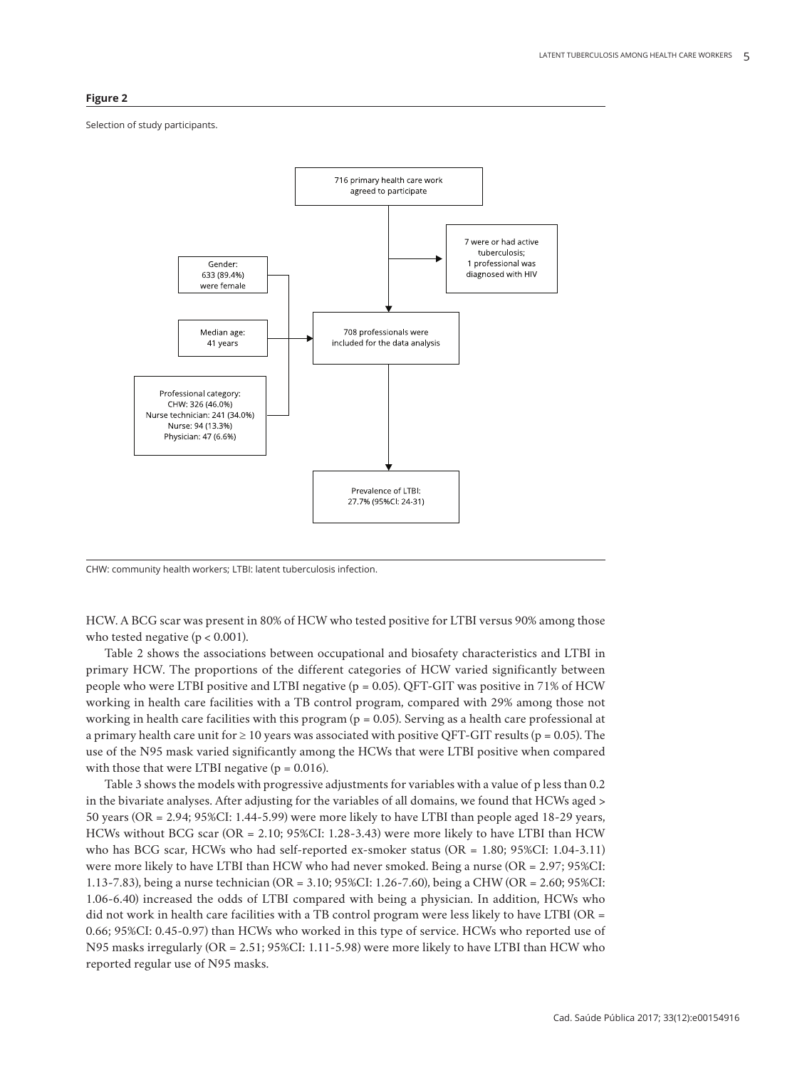#### **Figure 2**

Selection of study participants.



CHW: community health workers; LTBI: latent tuberculosis infection.

HCW. A BCG scar was present in 80% of HCW who tested positive for LTBI versus 90% among those who tested negative ( $p < 0.001$ ).

Table 2 shows the associations between occupational and biosafety characteristics and LTBI in primary HCW. The proportions of the different categories of HCW varied significantly between people who were LTBI positive and LTBI negative ( $p = 0.05$ ). QFT-GIT was positive in 71% of HCW working in health care facilities with a TB control program, compared with 29% among those not working in health care facilities with this program ( $p = 0.05$ ). Serving as a health care professional at a primary health care unit for  $\geq 10$  years was associated with positive QFT-GIT results (p = 0.05). The use of the N95 mask varied significantly among the HCWs that were LTBI positive when compared with those that were LTBI negative  $(p = 0.016)$ .

Table 3 shows the models with progressive adjustments for variables with a value of p less than 0.2 in the bivariate analyses. After adjusting for the variables of all domains, we found that HCWs aged > 50 years (OR = 2.94; 95%CI: 1.44-5.99) were more likely to have LTBI than people aged 18-29 years, HCWs without BCG scar (OR = 2.10; 95%CI: 1.28-3.43) were more likely to have LTBI than HCW who has BCG scar, HCWs who had self-reported ex-smoker status (OR = 1.80; 95%CI: 1.04-3.11) were more likely to have LTBI than HCW who had never smoked. Being a nurse (OR = 2.97; 95%CI: 1.13-7.83), being a nurse technician (OR = 3.10; 95%CI: 1.26-7.60), being a CHW (OR = 2.60; 95%CI: 1.06-6.40) increased the odds of LTBI compared with being a physician. In addition, HCWs who did not work in health care facilities with a TB control program were less likely to have LTBI (OR = 0.66; 95%CI: 0.45-0.97) than HCWs who worked in this type of service. HCWs who reported use of N95 masks irregularly (OR = 2.51; 95%CI: 1.11-5.98) were more likely to have LTBI than HCW who reported regular use of N95 masks.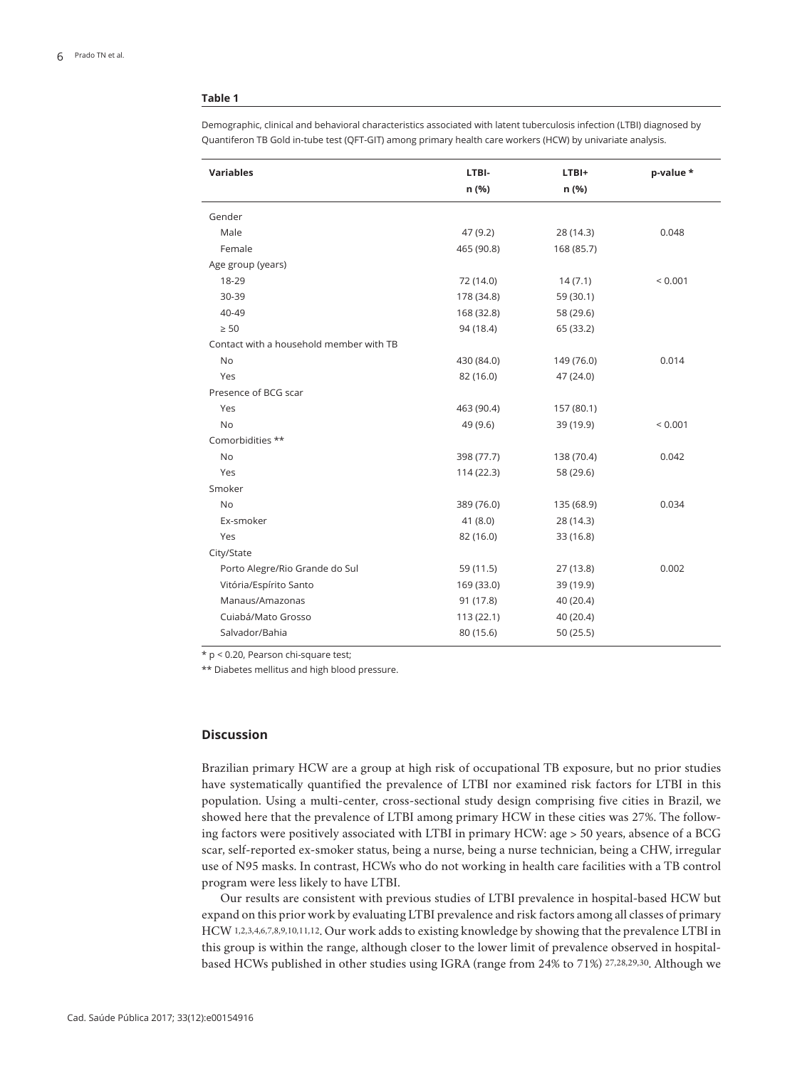#### **Table 1**

Demographic, clinical and behavioral characteristics associated with latent tuberculosis infection (LTBI) diagnosed by Quantiferon TB Gold in-tube test (QFT-GIT) among primary health care workers (HCW) by univariate analysis.

| <b>Variables</b>                        | LTBI-      | LTBI+      | p-value * |
|-----------------------------------------|------------|------------|-----------|
|                                         | n (%)      | n (%)      |           |
|                                         |            |            |           |
| Gender                                  |            |            |           |
| Male                                    | 47 (9.2)   | 28 (14.3)  | 0.048     |
| Female                                  | 465 (90.8) | 168 (85.7) |           |
| Age group (years)                       |            |            |           |
| 18-29                                   | 72 (14.0)  | 14(7.1)    | < 0.001   |
| 30-39                                   | 178 (34.8) | 59 (30.1)  |           |
| 40-49                                   | 168 (32.8) | 58 (29.6)  |           |
| $\geq 50$                               | 94 (18.4)  | 65 (33.2)  |           |
| Contact with a household member with TB |            |            |           |
| No                                      | 430 (84.0) | 149 (76.0) | 0.014     |
| Yes                                     | 82 (16.0)  | 47 (24.0)  |           |
| Presence of BCG scar                    |            |            |           |
| Yes                                     | 463 (90.4) | 157 (80.1) |           |
| <b>No</b>                               | 49 (9.6)   | 39 (19.9)  | < 0.001   |
| Comorbidities **                        |            |            |           |
| <b>No</b>                               | 398 (77.7) | 138 (70.4) | 0.042     |
| Yes                                     | 114 (22.3) | 58 (29.6)  |           |
| Smoker                                  |            |            |           |
| <b>No</b>                               | 389 (76.0) | 135 (68.9) | 0.034     |
| Ex-smoker                               | 41 (8.0)   | 28 (14.3)  |           |
| Yes                                     | 82 (16.0)  | 33 (16.8)  |           |
| City/State                              |            |            |           |
| Porto Alegre/Rio Grande do Sul          | 59 (11.5)  | 27 (13.8)  | 0.002     |
| Vitória/Espírito Santo                  | 169 (33.0) | 39 (19.9)  |           |
| Manaus/Amazonas                         | 91 (17.8)  | 40 (20.4)  |           |
| Cuiabá/Mato Grosso                      | 113(22.1)  | 40 (20.4)  |           |
| Salvador/Bahia                          | 80 (15.6)  | 50(25.5)   |           |

\* p < 0.20, Pearson chi-square test;

\*\* Diabetes mellitus and high blood pressure.

#### **Discussion**

Brazilian primary HCW are a group at high risk of occupational TB exposure, but no prior studies have systematically quantified the prevalence of LTBI nor examined risk factors for LTBI in this population. Using a multi-center, cross-sectional study design comprising five cities in Brazil, we showed here that the prevalence of LTBI among primary HCW in these cities was 27%. The following factors were positively associated with LTBI in primary HCW: age > 50 years, absence of a BCG scar, self-reported ex-smoker status, being a nurse, being a nurse technician, being a CHW, irregular use of N95 masks. In contrast, HCWs who do not working in health care facilities with a TB control program were less likely to have LTBI.

Our results are consistent with previous studies of LTBI prevalence in hospital-based HCW but expand on this prior work by evaluating LTBI prevalence and risk factors among all classes of primary HCW 1,2,3,4,6,7,8,9,10,11,12. Our work adds to existing knowledge by showing that the prevalence LTBI in this group is within the range, although closer to the lower limit of prevalence observed in hospitalbased HCWs published in other studies using IGRA (range from 24% to 71%) 27,28,29,30. Although we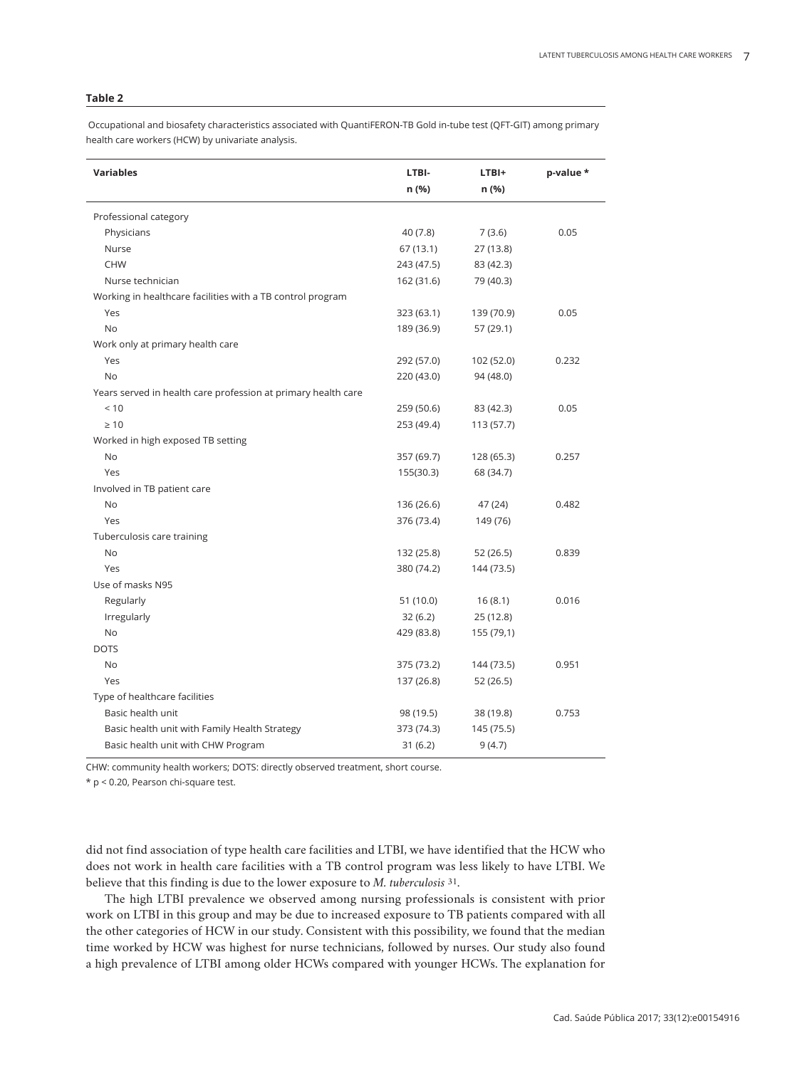#### **Table 2**

 Occupational and biosafety characteristics associated with QuantiFERON-TB Gold in-tube test (QFT-GIT) among primary health care workers (HCW) by univariate analysis.

| <b>Variables</b>                                              | LTBI-      | LTBI+      | p-value * |
|---------------------------------------------------------------|------------|------------|-----------|
|                                                               | n (%)      | n (%)      |           |
| Professional category                                         |            |            |           |
| Physicians                                                    | 40(7.8)    | 7(3.6)     | 0.05      |
| Nurse                                                         | 67(13.1)   | 27 (13.8)  |           |
| <b>CHW</b>                                                    | 243 (47.5) | 83 (42.3)  |           |
| Nurse technician                                              | 162 (31.6) | 79 (40.3)  |           |
| Working in healthcare facilities with a TB control program    |            |            |           |
| Yes                                                           | 323 (63.1) | 139 (70.9) | 0.05      |
| <b>No</b>                                                     | 189 (36.9) | 57 (29.1)  |           |
| Work only at primary health care                              |            |            |           |
| Yes                                                           | 292 (57.0) | 102 (52.0) | 0.232     |
| <b>No</b>                                                     | 220 (43.0) | 94 (48.0)  |           |
| Years served in health care profession at primary health care |            |            |           |
| < 10                                                          | 259 (50.6) | 83 (42.3)  | 0.05      |
| $\geq 10$                                                     | 253 (49.4) | 113 (57.7) |           |
| Worked in high exposed TB setting                             |            |            |           |
| No                                                            | 357 (69.7) | 128 (65.3) | 0.257     |
| Yes                                                           | 155(30.3)  | 68 (34.7)  |           |
| Involved in TB patient care                                   |            |            |           |
| No                                                            | 136 (26.6) | 47 (24)    | 0.482     |
| Yes                                                           | 376 (73.4) | 149 (76)   |           |
| Tuberculosis care training                                    |            |            |           |
| No                                                            | 132 (25.8) | 52 (26.5)  | 0.839     |
| Yes                                                           | 380 (74.2) | 144 (73.5) |           |
| Use of masks N95                                              |            |            |           |
| Regularly                                                     | 51 (10.0)  | 16(8.1)    | 0.016     |
| Irregularly                                                   | 32(6.2)    | 25 (12.8)  |           |
| No                                                            | 429 (83.8) | 155 (79,1) |           |
| <b>DOTS</b>                                                   |            |            |           |
| <b>No</b>                                                     | 375 (73.2) | 144 (73.5) | 0.951     |
| Yes                                                           | 137 (26.8) | 52 (26.5)  |           |
| Type of healthcare facilities                                 |            |            |           |
| Basic health unit                                             | 98 (19.5)  | 38 (19.8)  | 0.753     |
| Basic health unit with Family Health Strategy                 | 373 (74.3) | 145 (75.5) |           |
| Basic health unit with CHW Program                            | 31(6.2)    | 9(4.7)     |           |

CHW: community health workers; DOTS: directly observed treatment, short course.

\* p < 0.20, Pearson chi-square test.

did not find association of type health care facilities and LTBI, we have identified that the HCW who does not work in health care facilities with a TB control program was less likely to have LTBI. We believe that this finding is due to the lower exposure to *M. tuberculosis* 31.

The high LTBI prevalence we observed among nursing professionals is consistent with prior work on LTBI in this group and may be due to increased exposure to TB patients compared with all the other categories of HCW in our study. Consistent with this possibility, we found that the median time worked by HCW was highest for nurse technicians, followed by nurses. Our study also found a high prevalence of LTBI among older HCWs compared with younger HCWs. The explanation for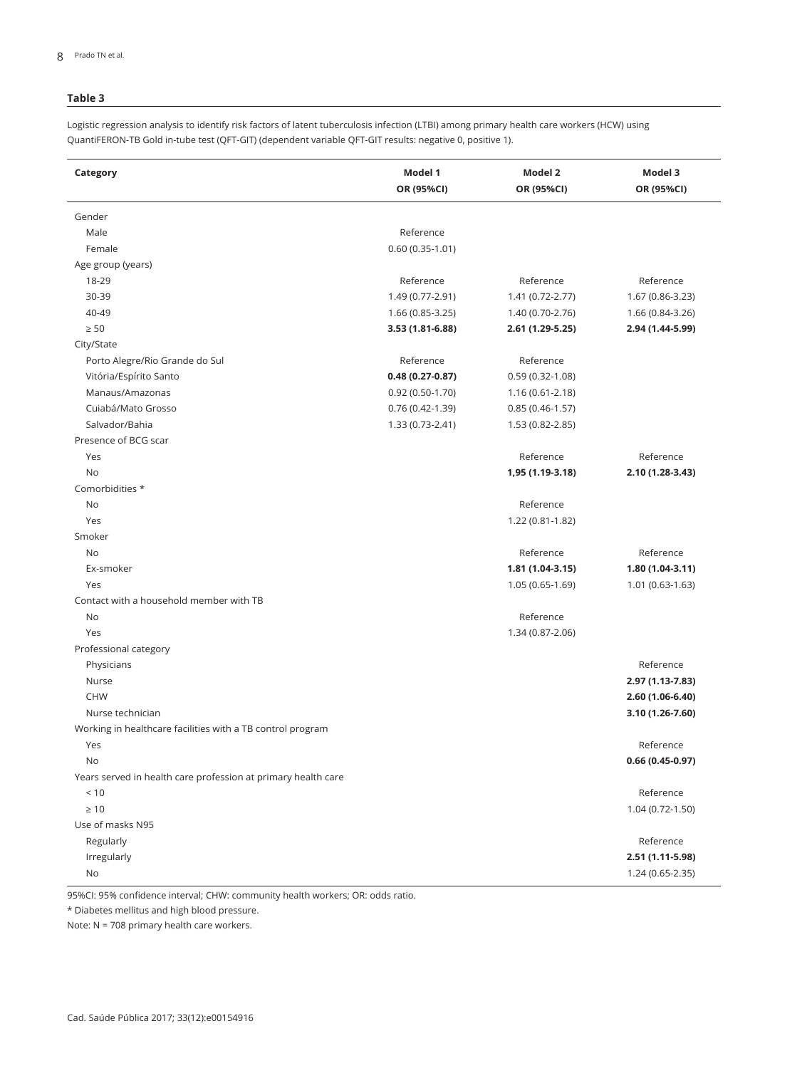# **Table 3**

Logistic regression analysis to identify risk factors of latent tuberculosis infection (LTBI) among primary health care workers (HCW) using QuantiFERON-TB Gold in-tube test (QFT-GIT) (dependent variable QFT-GIT results: negative 0, positive 1).

| Category                                                      | Model 1<br>OR (95%CI) | Model 2<br>OR (95%CI) | Model 3<br>OR (95%CI) |
|---------------------------------------------------------------|-----------------------|-----------------------|-----------------------|
| Gender                                                        |                       |                       |                       |
| Male                                                          | Reference             |                       |                       |
| Female                                                        | $0.60(0.35-1.01)$     |                       |                       |
| Age group (years)                                             |                       |                       |                       |
| 18-29                                                         | Reference             | Reference             | Reference             |
| 30-39                                                         | 1.49 (0.77-2.91)      | 1.41 (0.72-2.77)      | 1.67 (0.86-3.23)      |
| 40-49                                                         | 1.66 (0.85-3.25)      | 1.40 (0.70-2.76)      | 1.66 (0.84-3.26)      |
| $\geq 50$                                                     | 3.53 (1.81-6.88)      | 2.61 (1.29-5.25)      | 2.94 (1.44-5.99)      |
| City/State                                                    |                       |                       |                       |
| Porto Alegre/Rio Grande do Sul                                | Reference             | Reference             |                       |
| Vitória/Espírito Santo                                        | $0.48(0.27-0.87)$     | $0.59(0.32-1.08)$     |                       |
| Manaus/Amazonas                                               | $0.92(0.50-1.70)$     | $1.16(0.61 - 2.18)$   |                       |
| Cuiabá/Mato Grosso                                            | $0.76(0.42-1.39)$     | $0.85(0.46-1.57)$     |                       |
| Salvador/Bahia                                                | 1.33 (0.73-2.41)      | 1.53 (0.82-2.85)      |                       |
| Presence of BCG scar                                          |                       |                       |                       |
| Yes                                                           |                       | Reference             | Reference             |
| No                                                            |                       | 1,95 (1.19-3.18)      | 2.10 (1.28-3.43)      |
| Comorbidities *                                               |                       |                       |                       |
| No                                                            |                       | Reference             |                       |
| Yes                                                           |                       | 1.22 (0.81-1.82)      |                       |
| Smoker                                                        |                       |                       |                       |
| No                                                            |                       | Reference             | Reference             |
| Ex-smoker                                                     |                       | 1.81 (1.04-3.15)      | 1.80 (1.04-3.11)      |
| Yes                                                           |                       | $1.05(0.65-1.69)$     | $1.01(0.63-1.63)$     |
| Contact with a household member with TB                       |                       |                       |                       |
| No                                                            |                       | Reference             |                       |
| Yes                                                           |                       | 1.34 (0.87-2.06)      |                       |
| Professional category                                         |                       |                       |                       |
| Physicians                                                    |                       |                       | Reference             |
| Nurse                                                         |                       |                       | 2.97 (1.13-7.83)      |
| CHW                                                           |                       |                       | 2.60 (1.06-6.40)      |
| Nurse technician                                              |                       |                       | 3.10 (1.26-7.60)      |
| Working in healthcare facilities with a TB control program    |                       |                       |                       |
| Yes                                                           |                       |                       | Reference             |
| No                                                            |                       |                       | $0.66(0.45-0.97)$     |
| Years served in health care profession at primary health care |                       |                       |                       |
| < 10                                                          |                       |                       | Reference             |
| $\geq 10$                                                     |                       |                       | 1.04 (0.72-1.50)      |
| Use of masks N95                                              |                       |                       |                       |
| Regularly                                                     |                       |                       | Reference             |
| Irregularly                                                   |                       |                       | 2.51 (1.11-5.98)      |
| No                                                            |                       |                       | 1.24 (0.65-2.35)      |

95%CI: 95% confidence interval; CHW: community health workers; OR: odds ratio.

\* Diabetes mellitus and high blood pressure.

Note: N = 708 primary health care workers.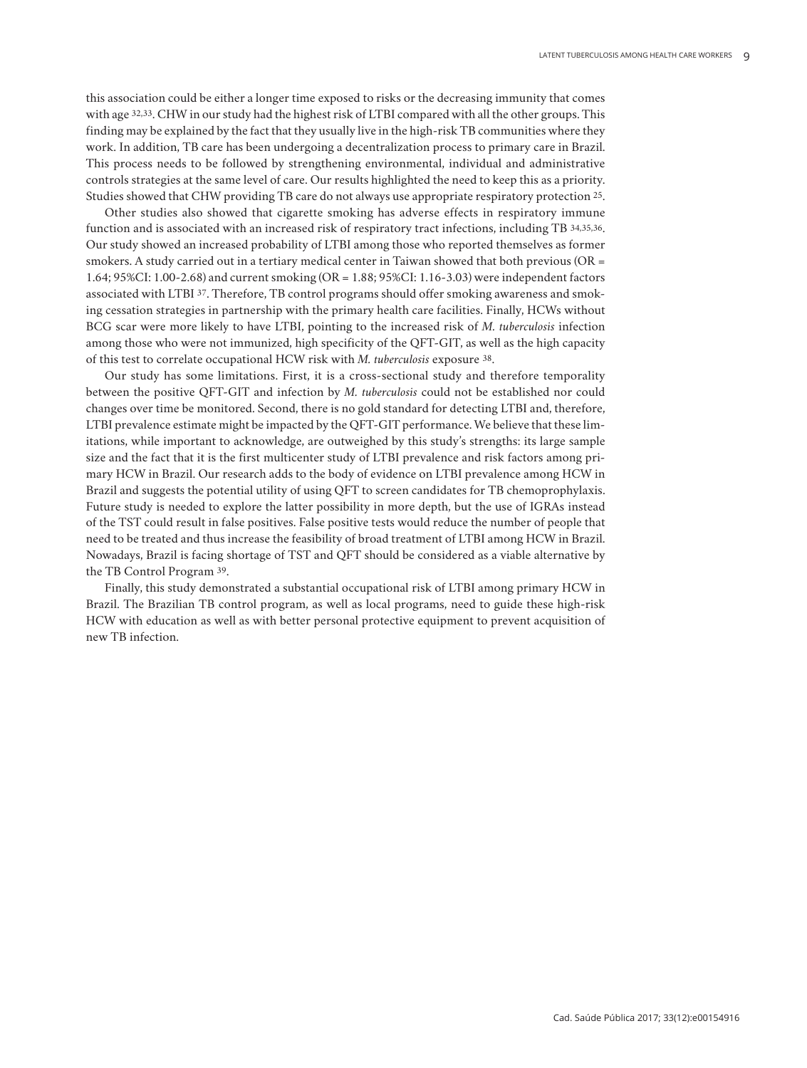this association could be either a longer time exposed to risks or the decreasing immunity that comes with age 32,33. CHW in our study had the highest risk of LTBI compared with all the other groups. This finding may be explained by the fact that they usually live in the high-risk TB communities where they work. In addition, TB care has been undergoing a decentralization process to primary care in Brazil. This process needs to be followed by strengthening environmental, individual and administrative controls strategies at the same level of care. Our results highlighted the need to keep this as a priority. Studies showed that CHW providing TB care do not always use appropriate respiratory protection 25.

Other studies also showed that cigarette smoking has adverse effects in respiratory immune function and is associated with an increased risk of respiratory tract infections, including TB 34,35,36. Our study showed an increased probability of LTBI among those who reported themselves as former smokers. A study carried out in a tertiary medical center in Taiwan showed that both previous (OR = 1.64; 95%CI: 1.00-2.68) and current smoking (OR = 1.88; 95%CI: 1.16-3.03) were independent factors associated with LTBI 37. Therefore, TB control programs should offer smoking awareness and smoking cessation strategies in partnership with the primary health care facilities. Finally, HCWs without BCG scar were more likely to have LTBI, pointing to the increased risk of *M. tuberculosis* infection among those who were not immunized, high specificity of the QFT-GIT, as well as the high capacity of this test to correlate occupational HCW risk with *M. tuberculosis* exposure 38.

Our study has some limitations. First, it is a cross-sectional study and therefore temporality between the positive QFT-GIT and infection by *M. tuberculosis* could not be established nor could changes over time be monitored. Second, there is no gold standard for detecting LTBI and, therefore, LTBI prevalence estimate might be impacted by the QFT-GIT performance. We believe that these limitations, while important to acknowledge, are outweighed by this study's strengths: its large sample size and the fact that it is the first multicenter study of LTBI prevalence and risk factors among primary HCW in Brazil. Our research adds to the body of evidence on LTBI prevalence among HCW in Brazil and suggests the potential utility of using QFT to screen candidates for TB chemoprophylaxis. Future study is needed to explore the latter possibility in more depth, but the use of IGRAs instead of the TST could result in false positives. False positive tests would reduce the number of people that need to be treated and thus increase the feasibility of broad treatment of LTBI among HCW in Brazil. Nowadays, Brazil is facing shortage of TST and QFT should be considered as a viable alternative by the TB Control Program 39.

Finally, this study demonstrated a substantial occupational risk of LTBI among primary HCW in Brazil. The Brazilian TB control program, as well as local programs, need to guide these high-risk HCW with education as well as with better personal protective equipment to prevent acquisition of new TB infection.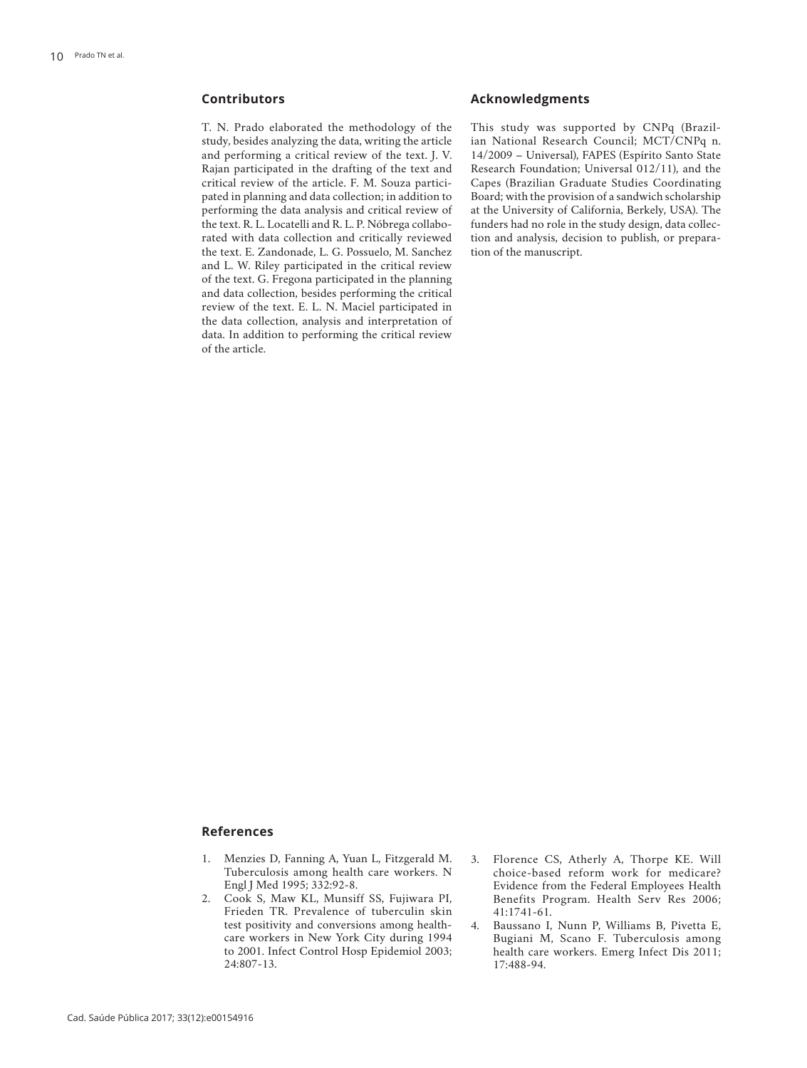## **Contributors**

T. N. Prado elaborated the methodology of the study, besides analyzing the data, writing the article and performing a critical review of the text. J. V. Rajan participated in the drafting of the text and critical review of the article. F. M. Souza participated in planning and data collection; in addition to performing the data analysis and critical review of the text. R. L. Locatelli and R. L. P. Nóbrega collaborated with data collection and critically reviewed the text. E. Zandonade, L. G. Possuelo, M. Sanchez and L. W. Riley participated in the critical review of the text. G. Fregona participated in the planning and data collection, besides performing the critical review of the text. E. L. N. Maciel participated in the data collection, analysis and interpretation of data. In addition to performing the critical review of the article.

#### **Acknowledgments**

This study was supported by CNPq (Brazilian National Research Council; MCT/CNPq n. 14/2009 – Universal), FAPES (Espírito Santo State Research Foundation; Universal 012/11), and the Capes (Brazilian Graduate Studies Coordinating Board; with the provision of a sandwich scholarship at the University of California, Berkely, USA). The funders had no role in the study design, data collection and analysis, decision to publish, or preparation of the manuscript.

#### **References**

- 1. Menzies D, Fanning A, Yuan L, Fitzgerald M. Tuberculosis among health care workers. N Engl J Med 1995; 332:92-8.
- 2. Cook S, Maw KL, Munsiff SS, Fujiwara PI, Frieden TR. Prevalence of tuberculin skin test positivity and conversions among healthcare workers in New York City during 1994 to 2001. Infect Control Hosp Epidemiol 2003; 24:807-13.
- 3. Florence CS, Atherly A, Thorpe KE. Will choice-based reform work for medicare? Evidence from the Federal Employees Health Benefits Program. Health Serv Res 2006; 41:1741-61.
- 4. Baussano I, Nunn P, Williams B, Pivetta E, Bugiani M, Scano F. Tuberculosis among health care workers. Emerg Infect Dis 2011; 17:488-94.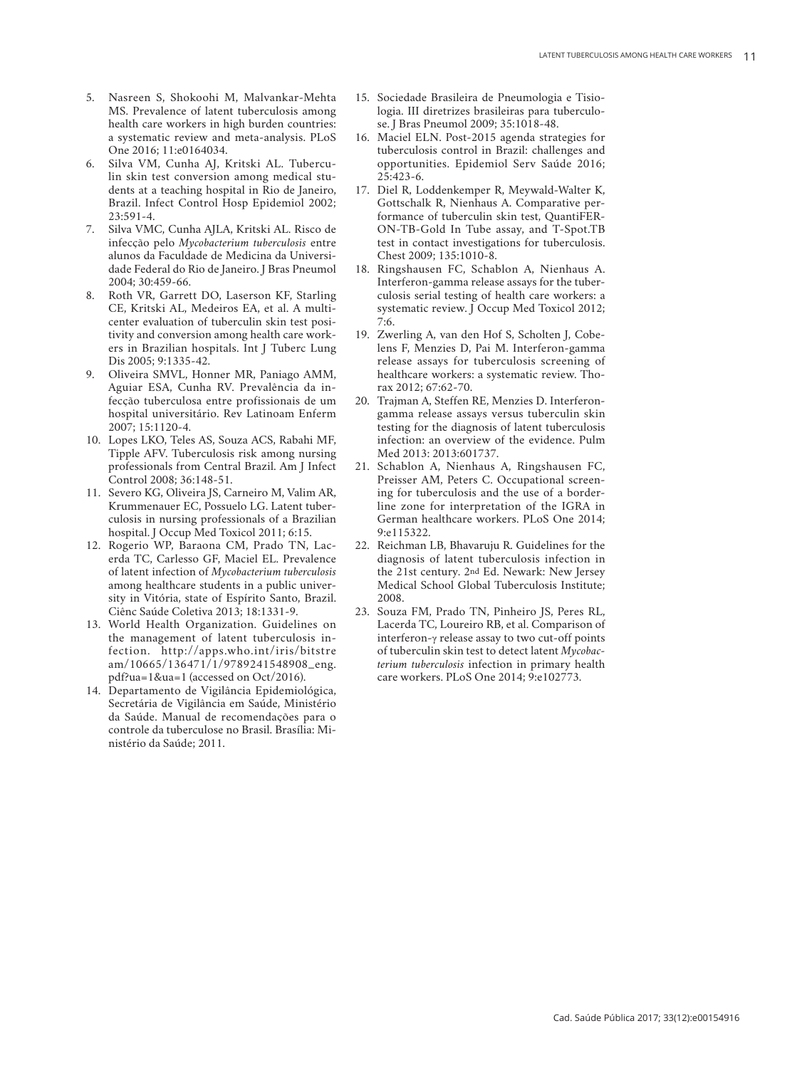- 5. Nasreen S, Shokoohi M, Malvankar-Mehta MS. Prevalence of latent tuberculosis among health care workers in high burden countries: a systematic review and meta-analysis. PLoS One 2016; 11:e0164034.
- 6. Silva VM, Cunha AJ, Kritski AL. Tubercu lin skin test conversion among medical stu dents at a teaching hospital in Rio de Janeiro, Brazil. Infect Control Hosp Epidemiol 2002; 23:591-4.
- 7. Silva VMC, Cunha AJLA, Kritski AL. Risco de infecção pelo *Mycobacterium tuberculosis* entre alunos da Faculdade de Medicina da Universi dade Federal do Rio de Janeiro. J Bras Pneumol 2004; 30:459-66.
- 8. Roth VR, Garrett DO, Laserson KF, Starling CE, Kritski AL, Medeiros EA, et al. A multi center evaluation of tuberculin skin test posi tivity and conversion among health care work ers in Brazilian hospitals. Int J Tuberc Lung Dis 2005; 9:1335-42.
- 9. Oliveira SMVL, Honner MR, Paniago AMM, Aguiar ESA, Cunha RV. Prevalência da in fecção tuberculosa entre profissionais de um hospital universitário. Rev Latinoam Enferm 2007; 15:1120-4.
- 10. Lopes LKO, Teles AS, Souza ACS, Rabahi MF, Tipple AFV. Tuberculosis risk among nursing professionals from Central Brazil. Am J Infect Control 2008; 36:148-51.
- 11. Severo KG, Oliveira JS, Carneiro M, Valim AR, Krummenauer EC, Possuelo LG. Latent tuber culosis in nursing professionals of a Brazilian hospital. J Occup Med Toxicol 2011; 6:15.
- 12. Rogerio WP, Baraona CM, Prado TN, Lac erda TC, Carlesso GF, Maciel EL. Prevalence of latent infection of *Mycobacterium tuberculosis* among healthcare students in a public univer sity in Vitória, state of Espírito Santo, Brazil. Ciênc Saúde Coletiva 2013; 18:1331-9.
- 13. World Health Organization. Guidelines on the management of latent tuberculosis in fection. http://apps.who.int/iris/bitstre am/10665/136471/1/9789241548908\_eng. pdf?ua=1&ua=1 (accessed on Oct/2016).
- 14. Departamento de Vigilância Epidemiológica, Secretária de Vigilância em Saúde, Ministério da Saúde. Manual de recomendações para o controle da tuberculose no Brasil. Brasília: Mi nistério da Saúde; 2011.
- 15. Sociedade Brasileira de Pneumologia e Tisio logia. III diretrizes brasileiras para tuberculo se. J Bras Pneumol 2009; 35:1018-48.
- 16. Maciel ELN. Post-2015 agenda strategies for tuberculosis control in Brazil: challenges and opportunities. Epidemiol Serv Saúde 2016; 25:423-6.
- 17. Diel R, Loddenkemper R, Meywald-Walter K, Gottschalk R, Nienhaus A. Comparative per formance of tuberculin skin test, QuantiFER - ON-TB-Gold In Tube assay, and T-Spot.TB test in contact investigations for tuberculosis. Chest 2009; 135:1010-8.
- 18. Ringshausen FC, Schablon A, Nienhaus A. Interferon-gamma release assays for the tuber culosis serial testing of health care workers: a systematic review. J Occup Med Toxicol 2012; 7:6.
- 19. Zwerling A, van den Hof S, Scholten J, Cobe lens F, Menzies D, Pai M. Interferon-gamma release assays for tuberculosis screening of healthcare workers: a systematic review. Tho rax 2012; 67:62-70.
- 20. Trajman A, Steffen RE, Menzies D. Interferongamma release assays versus tuberculin skin testing for the diagnosis of latent tuberculosis infection: an overview of the evidence. Pulm Med 2013: 2013:601737.
- 21. Schablon A, Nienhaus A, Ringshausen FC, Preisser AM, Peters C. Occupational screen ing for tuberculosis and the use of a border line zone for interpretation of the IGRA in German healthcare workers. PLoS One 2014; 9:e115322.
- 22. Reichman LB, Bhavaruju R. Guidelines for the diagnosis of latent tuberculosis infection in the 21st century. 2nd Ed. Newark: New Jersey Medical School Global Tuberculosis Institute; 2008.
- 23. Souza FM, Prado TN, Pinheiro JS, Peres RL, Lacerda TC, Loureiro RB, et al. Comparison of interferon-γ release assay to two cut-off points of tuberculin skin test to detect latent *Mycobac terium tuberculosis* infection in primary health care workers. PLoS One 2014; 9:e102773.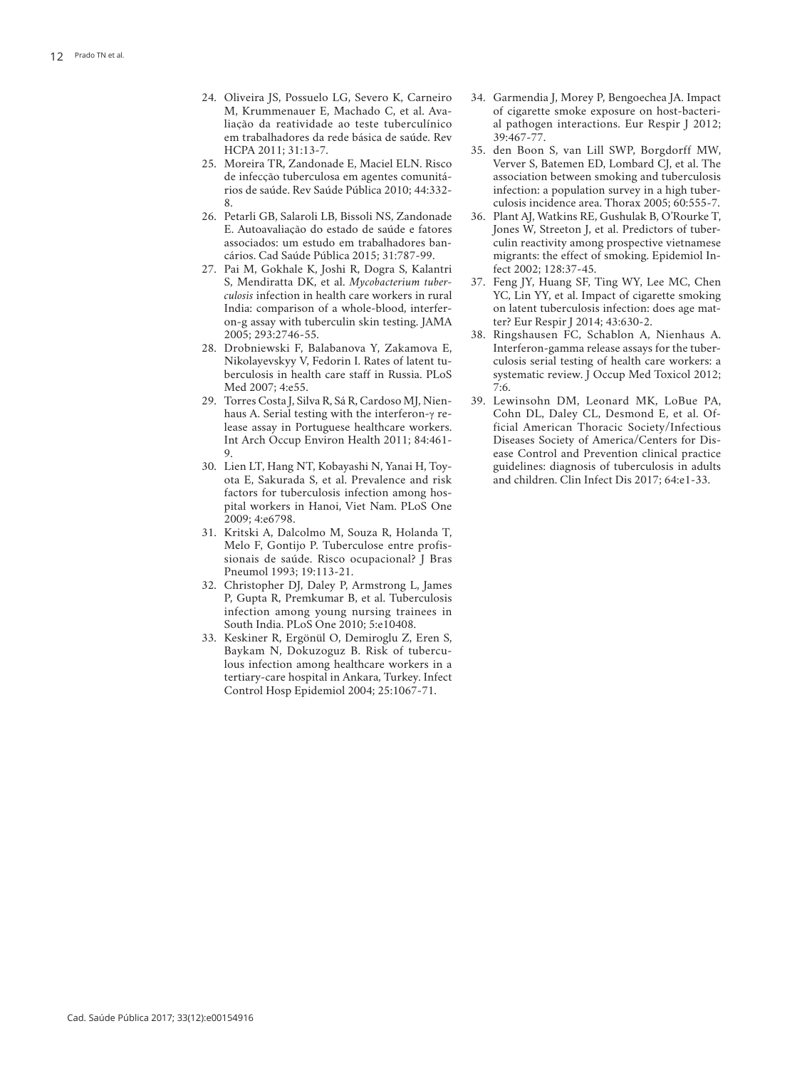- 24. Oliveira JS, Possuelo LG, Severo K, Carneiro M, Krummenauer E, Machado C, et al. Ava liação da reatividade ao teste tuberculínico em trabalhadores da rede básica de saúde. Rev HCPA 2011; 31:13-7.
- 25. Moreira TR, Zandonade E, Maciel ELN. Risco de infecção tuberculosa em agentes comunitá rios de saúde. Rev Saúde Pública 2010; 44:332- 8.
- 26. Petarli GB, Salaroli LB, Bissoli NS, Zandonade E. Autoavaliação do estado de saúde e fatores associados: um estudo em trabalhadores ban cários. Cad Saúde Pública 2015; 31:787-99.
- 27. Pai M, Gokhale K, Joshi R, Dogra S, Kalantri S, Mendiratta DK, et al. *Mycobacterium tuber culosis* infection in health care workers in rural India: comparison of a whole-blood, interfer on-g assay with tuberculin skin testing. JAMA 2005; 293:2746-55.
- 28. Drobniewski F, Balabanova Y, Zakamova E, Nikolayevskyy V, Fedorin I. Rates of latent tu berculosis in health care staff in Russia. PLoS Med 2007; 4:e55.
- 29. Torres Costa J, Silva R, Sá R, Cardoso MJ, Nien haus A. Serial testing with the interferon-γ re lease assay in Portuguese healthcare workers. Int Arch Occup Environ Health 2011; 84:461- 9.
- 30. Lien LT, Hang NT, Kobayashi N, Yanai H, Toy ota E, Sakurada S, et al. Prevalence and risk factors for tuberculosis infection among hos pital workers in Hanoi, Viet Nam. PLoS One 2009; 4:e6798.
- 31. Kritski A, Dalcolmo M, Souza R, Holanda T, Melo F, Gontijo P. Tuberculose entre profis sionais de saúde. Risco ocupacional? J Bras Pneumol 1993; 19:113-21.
- 32. Christopher DJ, Daley P, Armstrong L, James P, Gupta R, Premkumar B, et al. Tuberculosis infection among young nursing trainees in South India. PLoS One 2010; 5:e10408.
- 33. Keskiner R, Ergönül O, Demiroglu Z, Eren S, Baykam N, Dokuzoguz B. Risk of tubercu lous infection among healthcare workers in a tertiary-care hospital in Ankara, Turkey. Infect Control Hosp Epidemiol 2004; 25:1067-71.
- 34. Garmendia J, Morey P, Bengoechea JA. Impact of cigarette smoke exposure on host-bacteri al pathogen interactions. Eur Respir J 2012; 39:467-77.
- 35. den Boon S, van Lill SWP, Borgdorff MW, Verver S, Batemen ED, Lombard CJ, et al. The association between smoking and tuberculosis infection: a population survey in a high tuber culosis incidence area. Thorax 2005; 60:555-7.
- 36. Plant AJ, Watkins RE, Gushulak B, O'Rourke T, Jones W, Streeton J, et al. Predictors of tuber culin reactivity among prospective vietnamese migrants: the effect of smoking. Epidemiol In fect 2002; 128:37-45.
- 37. Feng JY, Huang SF, Ting WY, Lee MC, Chen YC, Lin YY, et al. Impact of cigarette smoking on latent tuberculosis infection: does age mat ter? Eur Respir J 2014; 43:630-2.
- 38. Ringshausen FC, Schablon A, Nienhaus A. Interferon-gamma release assays for the tuber culosis serial testing of health care workers: a systematic review. J Occup Med Toxicol 2012; 7:6.
- 39. Lewinsohn DM, Leonard MK, LoBue PA, Cohn DL, Daley CL, Desmond E, et al. Of ficial American Thoracic Society/Infectious Diseases Society of America/Centers for Dis ease Control and Prevention clinical practice guidelines: diagnosis of tuberculosis in adults and children. Clin Infect Dis 2017; 64:e1-33.